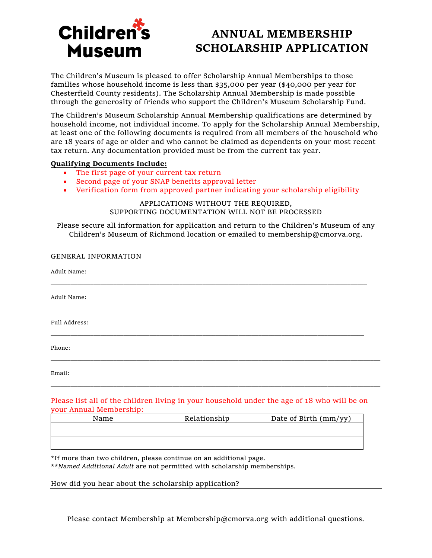

## **ANNUAL MEMBERSHIP SCHOLARSHIP APPLICATION**

The Children's Museum is pleased to offer Scholarship Annual Memberships to those families whose household income is less than \$35,000 per year (\$40,000 per year for Chesterfield County residents). The Scholarship Annual Membership is made possible through the generosity of friends who support the Children's Museum Scholarship Fund.

The Children's Museum Scholarship Annual Membership qualifications are determined by household income, not individual income. To apply for the Scholarship Annual Membership, at least one of the following documents is required from all members of the household who are 18 years of age or older and who cannot be claimed as dependents on your most recent tax return. Any documentation provided must be from the current tax year.

## **Qualifying Documents Include:**

- The first page of your current tax return
- Second page of your SNAP benefits approval letter
- Verification form from approved partner indicating your scholarship eligibility

APPLICATIONS WITHOUT THE REQUIRED, SUPPORTING DOCUMENTATION WILL NOT BE PROCESSED

Please secure all information for application and return to the Children's Museum of any Children's Museum of Richmond location or emailed to membership@cmorva.org.

| <b>GENERAL INFORMATION</b>                                                                  |
|---------------------------------------------------------------------------------------------|
| Adult Name:                                                                                 |
| Adult Name:                                                                                 |
| Full Address:                                                                               |
| Phone:                                                                                      |
| Email:                                                                                      |
| Dlagge list all of the shildren living in your household under the gge of 40 who will be en |

Please list all of the children living in your household under the age of 18 who will be on your Annual Membership:

| Name | Relationship | Date of Birth (mm/yy) |
|------|--------------|-----------------------|
|      |              |                       |
|      |              |                       |
|      |              |                       |

\*If more than two children, please continue on an additional page.

\*\**Named Additional Adult* are not permitted with scholarship memberships.

## How did you hear about the scholarship application?

Please contact Membership at Membership@cmorva.org with additional questions.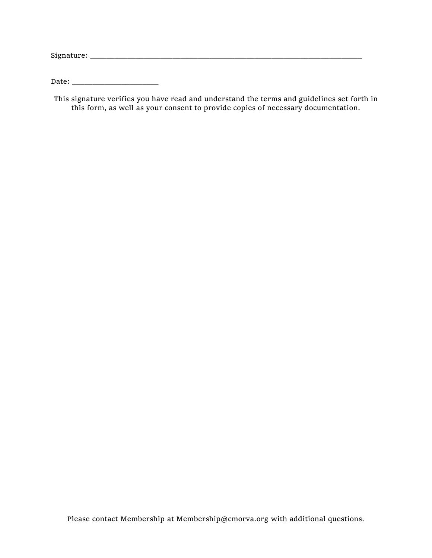$Signature: \begin{tabular}{@{}l@{}} \hline \rule{0.2cm}{0.2cm} \hline \rule{0.2cm}{0.2cm} \hline \rule{0.2cm}{0.2cm} \rule{0.2cm}{0.2cm} \hline \rule{0.2cm}{0.2cm} \rule{0.2cm}{0.2cm} \rule{0.2cm}{0.2cm} \rule{0.2cm}{0.2cm} \rule{0.2cm}{0.2cm} \rule{0.2cm}{0.2cm} \rule{0.2cm}{0.2cm} \rule{0.2cm}{0.2cm} \rule{0.2cm}{0.2cm} \rule{0.2cm}{0.2cm} \rule{0.2cm}{0.$ 

Date: \_\_\_\_\_\_\_\_\_\_\_\_\_\_\_\_\_\_\_\_\_

This signature verifies you have read and understand the terms and guidelines set forth in this form, as well as your consent to provide copies of necessary documentation.